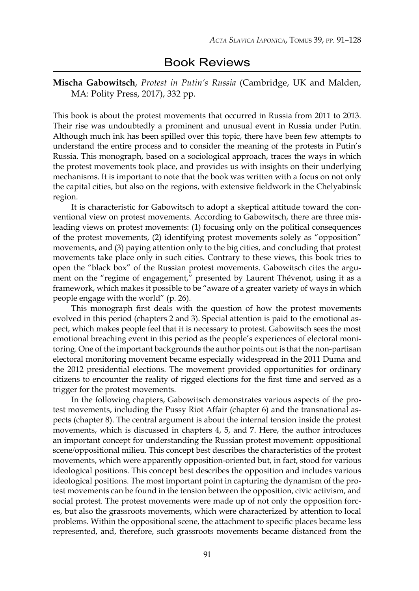## Book Reviews

**Mischa Gabowitsch**, *Protest in Putin's Russia* (Cambridge, UK and Malden, MA: Polity Press, 2017), 332 pp.

This book is about the protest movements that occurred in Russia from 2011 to 2013. Their rise was undoubtedly a prominent and unusual event in Russia under Putin. Although much ink has been spilled over this topic, there have been few attempts to understand the entire process and to consider the meaning of the protests in Putin's Russia. This monograph, based on a sociological approach, traces the ways in which the protest movements took place, and provides us with insights on their underlying mechanisms. It is important to note that the book was written with a focus on not only the capital cities, but also on the regions, with extensive fieldwork in the Chelyabinsk region.

It is characteristic for Gabowitsch to adopt a skeptical attitude toward the conventional view on protest movements. According to Gabowitsch, there are three misleading views on protest movements: (1) focusing only on the political consequences of the protest movements, (2) identifying protest movements solely as "opposition" movements, and (3) paying attention only to the big cities, and concluding that protest movements take place only in such cities. Contrary to these views, this book tries to open the "black box" of the Russian protest movements. Gabowitsch cites the argument on the "regime of engagement," presented by Laurent Thévenot, using it as a framework, which makes it possible to be "aware of a greater variety of ways in which people engage with the world" (p. 26).

This monograph first deals with the question of how the protest movements evolved in this period (chapters 2 and 3). Special attention is paid to the emotional aspect, which makes people feel that it is necessary to protest. Gabowitsch sees the most emotional breaching event in this period as the people's experiences of electoral monitoring. One of the important backgrounds the author points out is that the non-partisan electoral monitoring movement became especially widespread in the 2011 Duma and the 2012 presidential elections. The movement provided opportunities for ordinary citizens to encounter the reality of rigged elections for the first time and served as a trigger for the protest movements.

In the following chapters, Gabowitsch demonstrates various aspects of the protest movements, including the Pussy Riot Affair (chapter 6) and the transnational aspects (chapter 8). The central argument is about the internal tension inside the protest movements, which is discussed in chapters 4, 5, and 7. Here, the author introduces an important concept for understanding the Russian protest movement: oppositional scene/oppositional milieu. This concept best describes the characteristics of the protest movements, which were apparently opposition-oriented but, in fact, stood for various ideological positions. This concept best describes the opposition and includes various ideological positions. The most important point in capturing the dynamism of the protest movements can be found in the tension between the opposition, civic activism, and social protest. The protest movements were made up of not only the opposition forces, but also the grassroots movements, which were characterized by attention to local problems. Within the oppositional scene, the attachment to specific places became less represented, and, therefore, such grassroots movements became distanced from the